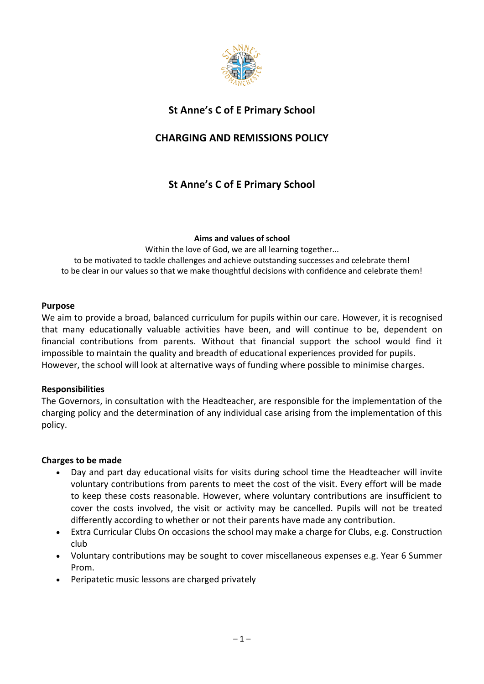

# **St Anne's C of E Primary School**

# **CHARGING AND REMISSIONS POLICY**

# **St Anne's C of E Primary School**

### **Aims and values of school**

Within the love of God, we are all learning together... to be motivated to tackle challenges and achieve outstanding successes and celebrate them! to be clear in our values so that we make thoughtful decisions with confidence and celebrate them!

### **Purpose**

We aim to provide a broad, balanced curriculum for pupils within our care. However, it is recognised that many educationally valuable activities have been, and will continue to be, dependent on financial contributions from parents. Without that financial support the school would find it impossible to maintain the quality and breadth of educational experiences provided for pupils. However, the school will look at alternative ways of funding where possible to minimise charges.

## **Responsibilities**

The Governors, in consultation with the Headteacher, are responsible for the implementation of the charging policy and the determination of any individual case arising from the implementation of this policy.

## **Charges to be made**

- Day and part day educational visits for visits during school time the Headteacher will invite voluntary contributions from parents to meet the cost of the visit. Every effort will be made to keep these costs reasonable. However, where voluntary contributions are insufficient to cover the costs involved, the visit or activity may be cancelled. Pupils will not be treated differently according to whether or not their parents have made any contribution.
- Extra Curricular Clubs On occasions the school may make a charge for Clubs, e.g. Construction club
- Voluntary contributions may be sought to cover miscellaneous expenses e.g. Year 6 Summer Prom.
- Peripatetic music lessons are charged privately